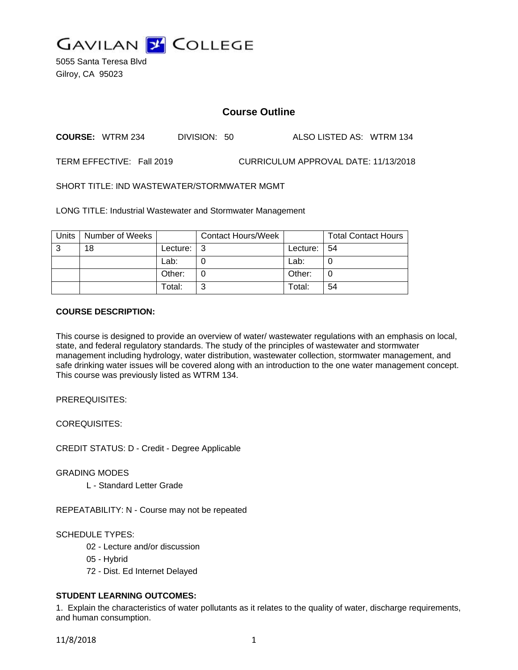

5055 Santa Teresa Blvd Gilroy, CA 95023

# **Course Outline**

**COURSE:** WTRM 234 DIVISION: 50 ALSO LISTED AS: WTRM 134

TERM EFFECTIVE: Fall 2019 CURRICULUM APPROVAL DATE: 11/13/2018

SHORT TITLE: IND WASTEWATER/STORMWATER MGMT

LONG TITLE: Industrial Wastewater and Stormwater Management

| <b>Units</b> | Number of Weeks |          | <b>Contact Hours/Week</b> |          | <b>Total Contact Hours</b> |
|--------------|-----------------|----------|---------------------------|----------|----------------------------|
| 3            | 18              | Lecture: | - 3                       | Lecture: | 54                         |
|              |                 | Lab:     |                           | Lab:     | U                          |
|              |                 | Other:   |                           | Other:   | C                          |
|              |                 | Total:   | ົ                         | Total:   | 54                         |

## **COURSE DESCRIPTION:**

This course is designed to provide an overview of water/ wastewater regulations with an emphasis on local, state, and federal regulatory standards. The study of the principles of wastewater and stormwater management including hydrology, water distribution, wastewater collection, stormwater management, and safe drinking water issues will be covered along with an introduction to the one water management concept. This course was previously listed as WTRM 134.

PREREQUISITES:

COREQUISITES:

CREDIT STATUS: D - Credit - Degree Applicable

GRADING MODES

L - Standard Letter Grade

REPEATABILITY: N - Course may not be repeated

SCHEDULE TYPES:

- 02 Lecture and/or discussion
- 05 Hybrid
- 72 Dist. Ed Internet Delayed

# **STUDENT LEARNING OUTCOMES:**

1. Explain the characteristics of water pollutants as it relates to the quality of water, discharge requirements, and human consumption.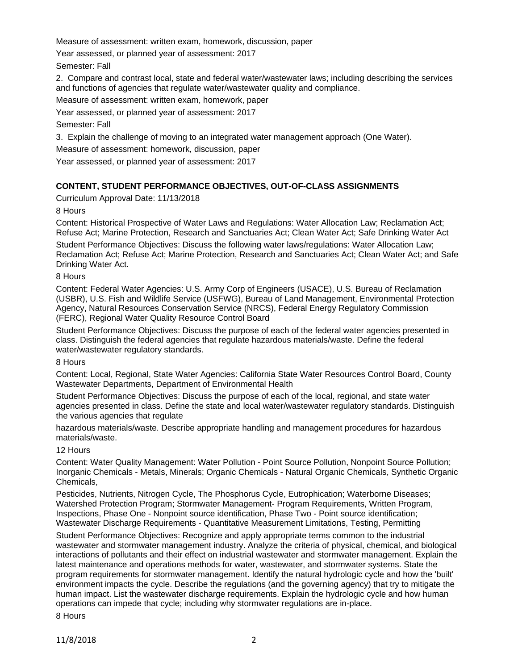Measure of assessment: written exam, homework, discussion, paper

Year assessed, or planned year of assessment: 2017

Semester: Fall

2. Compare and contrast local, state and federal water/wastewater laws; including describing the services and functions of agencies that regulate water/wastewater quality and compliance.

Measure of assessment: written exam, homework, paper

Year assessed, or planned year of assessment: 2017

Semester: Fall

3. Explain the challenge of moving to an integrated water management approach (One Water).

Measure of assessment: homework, discussion, paper

Year assessed, or planned year of assessment: 2017

# **CONTENT, STUDENT PERFORMANCE OBJECTIVES, OUT-OF-CLASS ASSIGNMENTS**

Curriculum Approval Date: 11/13/2018

## 8 Hours

Content: Historical Prospective of Water Laws and Regulations: Water Allocation Law; Reclamation Act; Refuse Act; Marine Protection, Research and Sanctuaries Act; Clean Water Act; Safe Drinking Water Act

Student Performance Objectives: Discuss the following water laws/regulations: Water Allocation Law; Reclamation Act; Refuse Act; Marine Protection, Research and Sanctuaries Act; Clean Water Act; and Safe Drinking Water Act.

## 8 Hours

Content: Federal Water Agencies: U.S. Army Corp of Engineers (USACE), U.S. Bureau of Reclamation (USBR), U.S. Fish and Wildlife Service (USFWG), Bureau of Land Management, Environmental Protection Agency, Natural Resources Conservation Service (NRCS), Federal Energy Regulatory Commission (FERC), Regional Water Quality Resource Control Board

Student Performance Objectives: Discuss the purpose of each of the federal water agencies presented in class. Distinguish the federal agencies that regulate hazardous materials/waste. Define the federal water/wastewater regulatory standards.

#### 8 Hours

Content: Local, Regional, State Water Agencies: California State Water Resources Control Board, County Wastewater Departments, Department of Environmental Health

Student Performance Objectives: Discuss the purpose of each of the local, regional, and state water agencies presented in class. Define the state and local water/wastewater regulatory standards. Distinguish the various agencies that regulate

hazardous materials/waste. Describe appropriate handling and management procedures for hazardous materials/waste.

#### 12 Hours

Content: Water Quality Management: Water Pollution - Point Source Pollution, Nonpoint Source Pollution; Inorganic Chemicals - Metals, Minerals; Organic Chemicals - Natural Organic Chemicals, Synthetic Organic Chemicals,

Pesticides, Nutrients, Nitrogen Cycle, The Phosphorus Cycle, Eutrophication; Waterborne Diseases; Watershed Protection Program; Stormwater Management- Program Requirements, Written Program, Inspections, Phase One - Nonpoint source identification, Phase Two - Point source identification; Wastewater Discharge Requirements - Quantitative Measurement Limitations, Testing, Permitting

Student Performance Objectives: Recognize and apply appropriate terms common to the industrial wastewater and stormwater management industry. Analyze the criteria of physical, chemical, and biological interactions of pollutants and their effect on industrial wastewater and stormwater management. Explain the latest maintenance and operations methods for water, wastewater, and stormwater systems. State the program requirements for stormwater management. Identify the natural hydrologic cycle and how the 'built' environment impacts the cycle. Describe the regulations (and the governing agency) that try to mitigate the human impact. List the wastewater discharge requirements. Explain the hydrologic cycle and how human operations can impede that cycle; including why stormwater regulations are in-place.

8 Hours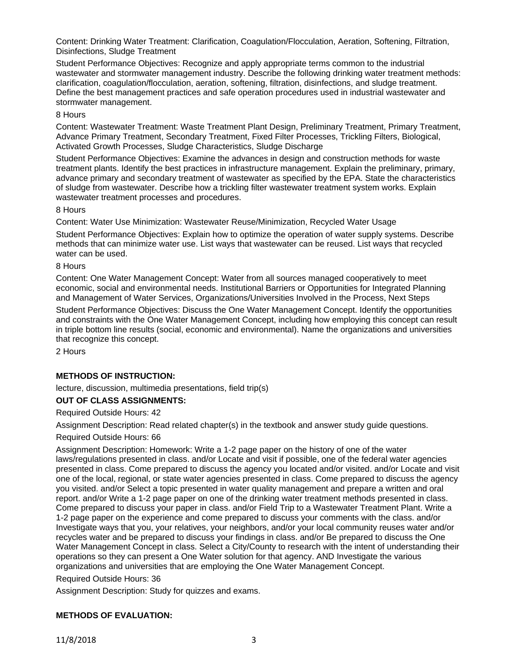Content: Drinking Water Treatment: Clarification, Coagulation/Flocculation, Aeration, Softening, Filtration, Disinfections, Sludge Treatment

Student Performance Objectives: Recognize and apply appropriate terms common to the industrial wastewater and stormwater management industry. Describe the following drinking water treatment methods: clarification, coagulation/flocculation, aeration, softening, filtration, disinfections, and sludge treatment. Define the best management practices and safe operation procedures used in industrial wastewater and stormwater management.

8 Hours

Content: Wastewater Treatment: Waste Treatment Plant Design, Preliminary Treatment, Primary Treatment, Advance Primary Treatment, Secondary Treatment, Fixed Filter Processes, Trickling Filters, Biological, Activated Growth Processes, Sludge Characteristics, Sludge Discharge

Student Performance Objectives: Examine the advances in design and construction methods for waste treatment plants. Identify the best practices in infrastructure management. Explain the preliminary, primary, advance primary and secondary treatment of wastewater as specified by the EPA. State the characteristics of sludge from wastewater. Describe how a trickling filter wastewater treatment system works. Explain wastewater treatment processes and procedures.

8 Hours

Content: Water Use Minimization: Wastewater Reuse/Minimization, Recycled Water Usage

Student Performance Objectives: Explain how to optimize the operation of water supply systems. Describe methods that can minimize water use. List ways that wastewater can be reused. List ways that recycled water can be used.

#### 8 Hours

Content: One Water Management Concept: Water from all sources managed cooperatively to meet economic, social and environmental needs. Institutional Barriers or Opportunities for Integrated Planning and Management of Water Services, Organizations/Universities Involved in the Process, Next Steps

Student Performance Objectives: Discuss the One Water Management Concept. Identify the opportunities and constraints with the One Water Management Concept, including how employing this concept can result in triple bottom line results (social, economic and environmental). Name the organizations and universities that recognize this concept.

2 Hours

#### **METHODS OF INSTRUCTION:**

lecture, discussion, multimedia presentations, field trip(s)

#### **OUT OF CLASS ASSIGNMENTS:**

Required Outside Hours: 42

Assignment Description: Read related chapter(s) in the textbook and answer study guide questions.

Required Outside Hours: 66

Assignment Description: Homework: Write a 1-2 page paper on the history of one of the water laws/regulations presented in class. and/or Locate and visit if possible, one of the federal water agencies presented in class. Come prepared to discuss the agency you located and/or visited. and/or Locate and visit one of the local, regional, or state water agencies presented in class. Come prepared to discuss the agency you visited. and/or Select a topic presented in water quality management and prepare a written and oral report. and/or Write a 1-2 page paper on one of the drinking water treatment methods presented in class. Come prepared to discuss your paper in class. and/or Field Trip to a Wastewater Treatment Plant. Write a 1-2 page paper on the experience and come prepared to discuss your comments with the class. and/or Investigate ways that you, your relatives, your neighbors, and/or your local community reuses water and/or recycles water and be prepared to discuss your findings in class. and/or Be prepared to discuss the One Water Management Concept in class. Select a City/County to research with the intent of understanding their operations so they can present a One Water solution for that agency. AND Investigate the various organizations and universities that are employing the One Water Management Concept.

Required Outside Hours: 36

Assignment Description: Study for quizzes and exams.

# **METHODS OF EVALUATION:**